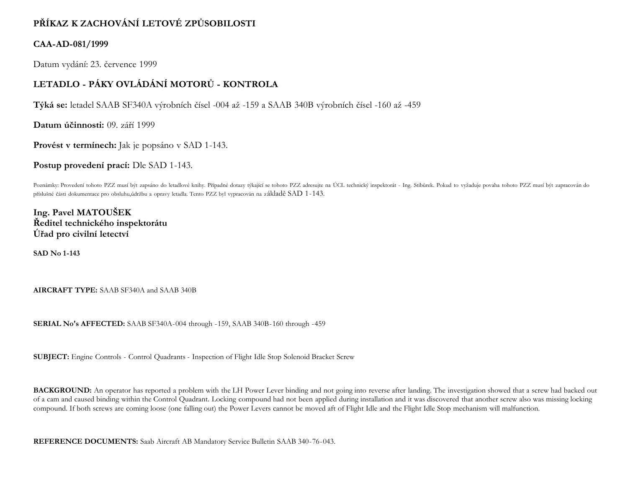## **PŘÍKAZ K ZACHOVÁNÍ LETOVÉ ZPŮSOBILOSTI**

## **CAA-AD-081/1999**

Datum vydání: 23. července 1999

## **LETADLO - PÁKY OVLÁDÁNÍ MOTORŮ - KONTROLA**

**Týká se:** letadel SAAB SF340A výrobních čísel -004 až -159 a SAAB 340B výrobních čísel -160 až -459

**Datum účinnosti:** 09. září 1999

**Provést v termínech:** Jak je popsáno v SAD 1-143.

**Postup provedení prací:** Dle SAD 1-143.

Poznámky: Provedení tohoto PZZ musí být zapsáno do letadlové knihy. Případné dotazy týkající se tohoto PZZ adresujte na ÚCL technický inspektorát - Ing. Stibůrek. Pokud to vyžaduje povaha tohoto PZZ musí být zapracován do příslušné části dokumentace pro obsluhu,údržbu a opravy letadla. Tento PZZ byl vypracován na základě SAD 1-143.

**Ing. Pavel MATOUŠEK Ředitel technického inspektorátu Úřad pro civilní letectví**

**SAD No 1-143**

**AIRCRAFT TYPE:** SAAB SF340A and SAAB 340B

**SERIAL No's AFFECTED:** SAAB SF340A-004 through -159, SAAB 340B-160 through -459

**SUBJECT:** Engine Controls - Control Quadrants - Inspection of Flight Idle Stop Solenoid Bracket Screw

BACKGROUND: An operator has reported a problem with the LH Power Lever binding and not going into reverse after landing. The investigation showed that a screw had backed out of a cam and caused binding within the Control Quadrant. Locking compound had not been applied during installation and it was discovered that another screw also was missing locking compound. If both screws are coming loose (one falling out) the Power Levers cannot be moved aft of Flight Idle and the Flight Idle Stop mechanism will malfunction.

**REFERENCE DOCUMENTS:** Saab Aircraft AB Mandatory Service Bulletin SAAB 340-76-043.